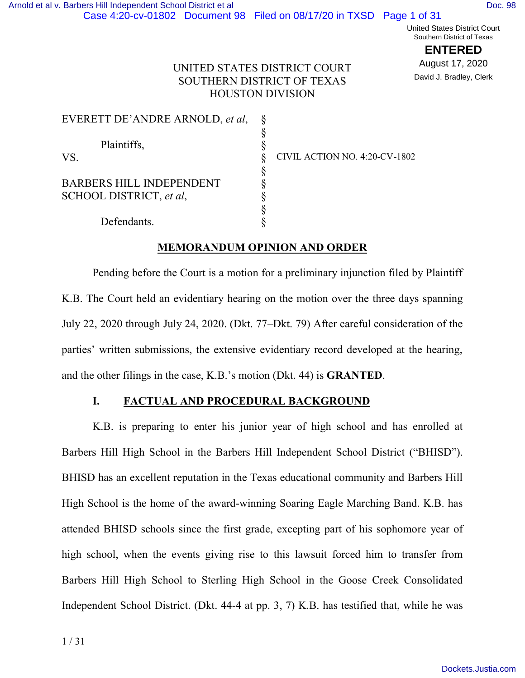United States District Court Southern District of Texas

**ENTERED**

August 17, 2020 David J. Bradley, Clerk

# UNITED STATES DISTRICT COURT SOUTHERN DISTRICT OF TEXAS HOUSTON DIVISION

| EVERETT DE'ANDRE ARNOLD, et al, |                               |
|---------------------------------|-------------------------------|
|                                 |                               |
| Plaintiffs,                     |                               |
| VS.                             | CIVIL ACTION NO. 4:20-CV-1802 |
|                                 |                               |
| <b>BARBERS HILL INDEPENDENT</b> |                               |
| SCHOOL DISTRICT, et al.         |                               |
|                                 |                               |
| Defendants.                     |                               |

# **MEMORANDUM OPINION AND ORDER**

Pending before the Court is a motion for a preliminary injunction filed by Plaintiff K.B. The Court held an evidentiary hearing on the motion over the three days spanning July 22, 2020 through July 24, 2020. (Dkt. 77–Dkt. 79) After careful consideration of the parties' written submissions, the extensive evidentiary record developed at the hearing, and the other filings in the case, K.B.'s motion (Dkt. 44) is **GRANTED**.

# **I. FACTUAL AND PROCEDURAL BACKGROUND**

K.B. is preparing to enter his junior year of high school and has enrolled at Barbers Hill High School in the Barbers Hill Independent School District ("BHISD"). BHISD has an excellent reputation in the Texas educational community and Barbers Hill High School is the home of the award-winning Soaring Eagle Marching Band. K.B. has attended BHISD schools since the first grade, excepting part of his sophomore year of high school, when the events giving rise to this lawsuit forced him to transfer from Barbers Hill High School to Sterling High School in the Goose Creek Consolidated Independent School District. (Dkt. 44-4 at pp. 3, 7) K.B. has testified that, while he was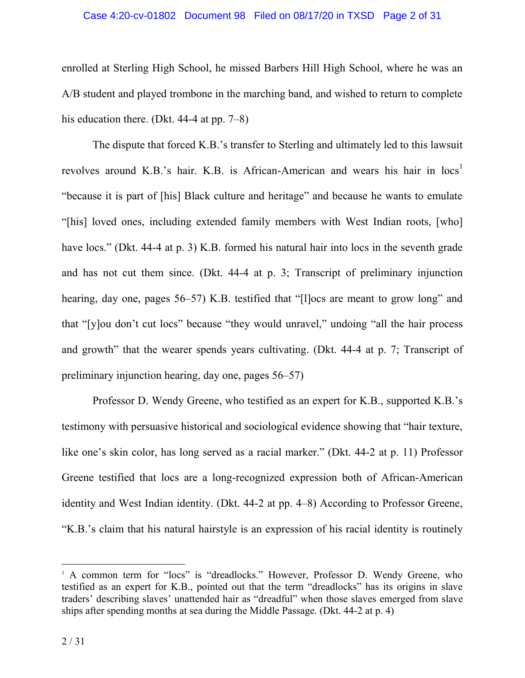#### Case 4:20-cv-01802 Document 98 Filed on 08/17/20 in TXSD Page 2 of 31

enrolled at Sterling High School, he missed Barbers Hill High School, where he was an A/B student and played trombone in the marching band, and wished to return to complete his education there. (Dkt. 44-4 at pp. 7–8)

The dispute that forced K.B.'s transfer to Sterling and ultimately led to this lawsuit revolves around K.B.'s hair. K.B. is African-American and wears his hair in  $\log<sup>1</sup>$ "because it is part of [his] Black culture and heritage" and because he wants to emulate "[his] loved ones, including extended family members with West Indian roots, [who] have locs." (Dkt. 44-4 at p. 3) K.B. formed his natural hair into locs in the seventh grade and has not cut them since. (Dkt. 44-4 at p. 3; Transcript of preliminary injunction hearing, day one, pages 56–57) K.B. testified that "[l]ocs are meant to grow long" and that "[y]ou don't cut locs" because "they would unravel," undoing "all the hair process and growth" that the wearer spends years cultivating. (Dkt. 44-4 at p. 7; Transcript of preliminary injunction hearing, day one, pages 56–57)

Professor D. Wendy Greene, who testified as an expert for K.B., supported K.B.'s testimony with persuasive historical and sociological evidence showing that "hair texture, like one's skin color, has long served as a racial marker." (Dkt. 44-2 at p. 11) Professor Greene testified that locs are a long-recognized expression both of African-American identity and West Indian identity. (Dkt. 44-2 at pp. 4–8) According to Professor Greene, "K.B.'s claim that his natural hairstyle is an expression of his racial identity is routinely

<sup>&</sup>lt;sup>1</sup> A common term for "locs" is "dreadlocks." However, Professor D. Wendy Greene, who testified as an expert for K.B., pointed out that the term "dreadlocks" has its origins in slave traders' describing slaves' unattended hair as "dreadful" when those slaves emerged from slave ships after spending months at sea during the Middle Passage. (Dkt. 44-2 at p. 4)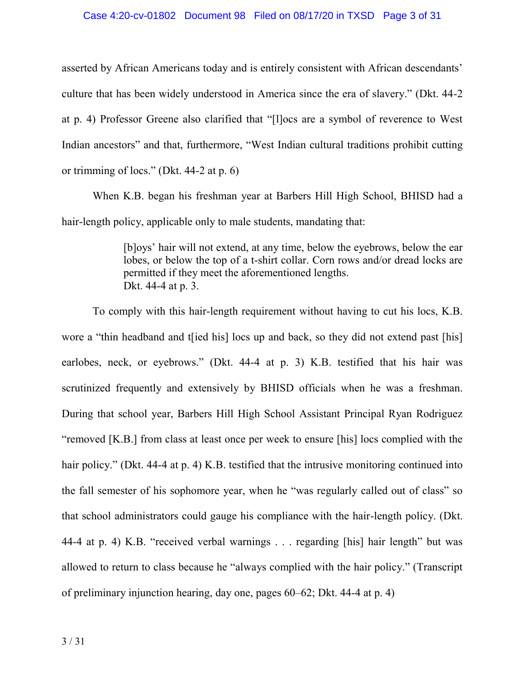#### Case 4:20-cv-01802 Document 98 Filed on 08/17/20 in TXSD Page 3 of 31

asserted by African Americans today and is entirely consistent with African descendants' culture that has been widely understood in America since the era of slavery." (Dkt. 44-2 at p. 4) Professor Greene also clarified that "[l]ocs are a symbol of reverence to West Indian ancestors" and that, furthermore, "West Indian cultural traditions prohibit cutting or trimming of locs." (Dkt. 44-2 at p. 6)

When K.B. began his freshman year at Barbers Hill High School, BHISD had a hair-length policy, applicable only to male students, mandating that:

> [b]oys' hair will not extend, at any time, below the eyebrows, below the ear lobes, or below the top of a t-shirt collar. Corn rows and/or dread locks are permitted if they meet the aforementioned lengths. Dkt. 44-4 at p. 3.

To comply with this hair-length requirement without having to cut his locs, K.B. wore a "thin headband and t [ied his] locs up and back, so they did not extend past [his] earlobes, neck, or eyebrows." (Dkt. 44-4 at p. 3) K.B. testified that his hair was scrutinized frequently and extensively by BHISD officials when he was a freshman. During that school year, Barbers Hill High School Assistant Principal Ryan Rodriguez "removed [K.B.] from class at least once per week to ensure [his] locs complied with the hair policy." (Dkt. 44-4 at p. 4) K.B. testified that the intrusive monitoring continued into the fall semester of his sophomore year, when he "was regularly called out of class" so that school administrators could gauge his compliance with the hair-length policy. (Dkt. 44-4 at p. 4) K.B. "received verbal warnings . . . regarding [his] hair length" but was allowed to return to class because he "always complied with the hair policy." (Transcript of preliminary injunction hearing, day one, pages 60–62; Dkt. 44-4 at p. 4)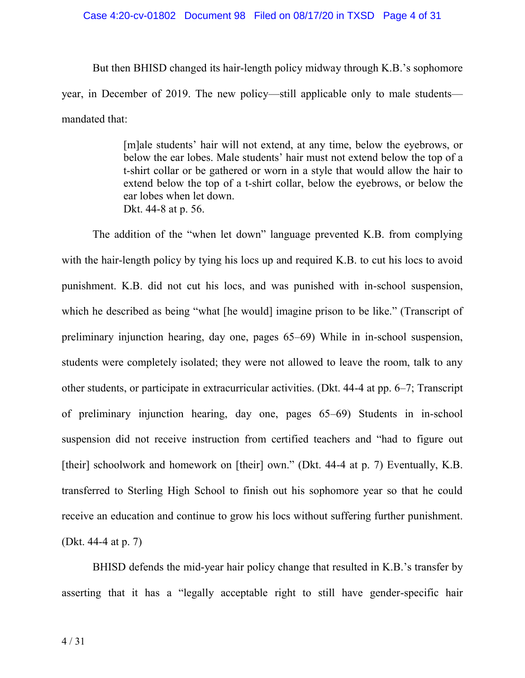#### Case 4:20-cv-01802 Document 98 Filed on 08/17/20 in TXSD Page 4 of 31

But then BHISD changed its hair-length policy midway through K.B.'s sophomore year, in December of 2019. The new policy—still applicable only to male students mandated that:

> [m]ale students' hair will not extend, at any time, below the eyebrows, or below the ear lobes. Male students' hair must not extend below the top of a t-shirt collar or be gathered or worn in a style that would allow the hair to extend below the top of a t-shirt collar, below the eyebrows, or below the ear lobes when let down. Dkt. 44-8 at p. 56.

The addition of the "when let down" language prevented K.B. from complying with the hair-length policy by tying his locs up and required K.B. to cut his locs to avoid punishment. K.B. did not cut his locs, and was punished with in-school suspension, which he described as being "what [he would] imagine prison to be like." (Transcript of preliminary injunction hearing, day one, pages 65–69) While in in-school suspension, students were completely isolated; they were not allowed to leave the room, talk to any other students, or participate in extracurricular activities. (Dkt. 44-4 at pp. 6–7; Transcript of preliminary injunction hearing, day one, pages 65–69) Students in in-school suspension did not receive instruction from certified teachers and "had to figure out [their] schoolwork and homework on [their] own." (Dkt. 44-4 at p. 7) Eventually, K.B. transferred to Sterling High School to finish out his sophomore year so that he could receive an education and continue to grow his locs without suffering further punishment. (Dkt. 44-4 at p. 7)

BHISD defends the mid-year hair policy change that resulted in K.B.'s transfer by asserting that it has a "legally acceptable right to still have gender-specific hair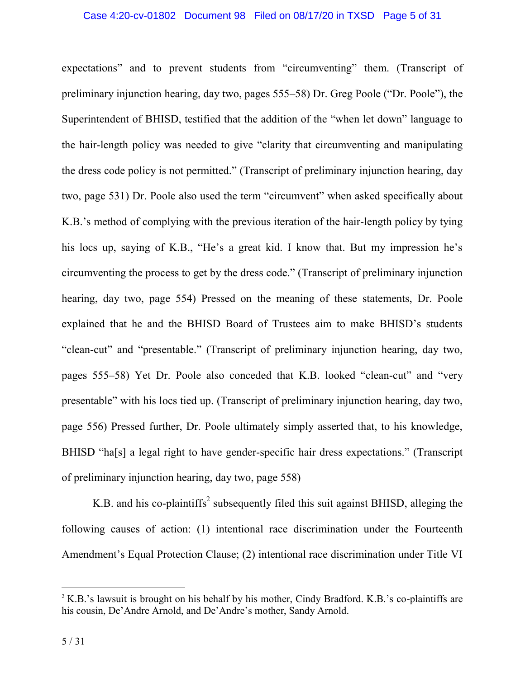expectations" and to prevent students from "circumventing" them. (Transcript of preliminary injunction hearing, day two, pages 555–58) Dr. Greg Poole ("Dr. Poole"), the Superintendent of BHISD, testified that the addition of the "when let down" language to the hair-length policy was needed to give "clarity that circumventing and manipulating the dress code policy is not permitted." (Transcript of preliminary injunction hearing, day two, page 531) Dr. Poole also used the term "circumvent" when asked specifically about K.B.'s method of complying with the previous iteration of the hair-length policy by tying his locs up, saying of K.B., "He's a great kid. I know that. But my impression he's circumventing the process to get by the dress code." (Transcript of preliminary injunction hearing, day two, page 554) Pressed on the meaning of these statements, Dr. Poole explained that he and the BHISD Board of Trustees aim to make BHISD's students "clean-cut" and "presentable." (Transcript of preliminary injunction hearing, day two, pages 555–58) Yet Dr. Poole also conceded that K.B. looked "clean-cut" and "very presentable" with his locs tied up. (Transcript of preliminary injunction hearing, day two, page 556) Pressed further, Dr. Poole ultimately simply asserted that, to his knowledge, BHISD "ha[s] a legal right to have gender-specific hair dress expectations." (Transcript of preliminary injunction hearing, day two, page 558)

K.B. and his co-plaintiffs<sup>2</sup> subsequently filed this suit against BHISD, alleging the following causes of action: (1) intentional race discrimination under the Fourteenth Amendment's Equal Protection Clause; (2) intentional race discrimination under Title VI

 $2 K.B.'s$  lawsuit is brought on his behalf by his mother, Cindy Bradford. K.B.'s co-plaintiffs are his cousin, De'Andre Arnold, and De'Andre's mother, Sandy Arnold.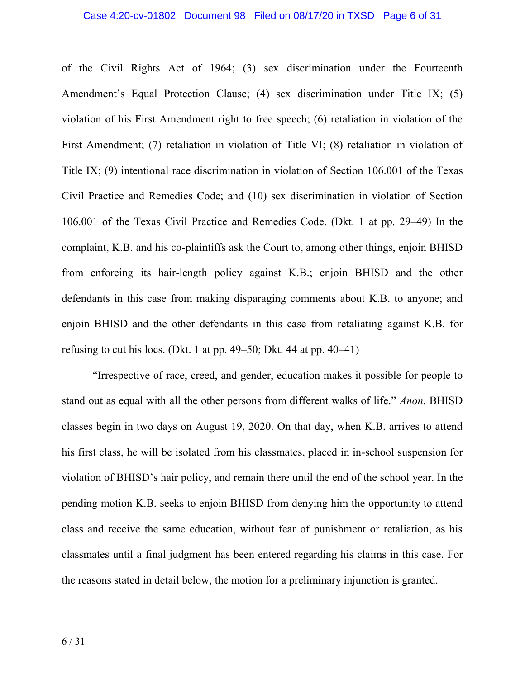of the Civil Rights Act of 1964; (3) sex discrimination under the Fourteenth Amendment's Equal Protection Clause; (4) sex discrimination under Title IX; (5) violation of his First Amendment right to free speech; (6) retaliation in violation of the First Amendment; (7) retaliation in violation of Title VI; (8) retaliation in violation of Title IX; (9) intentional race discrimination in violation of Section 106.001 of the Texas Civil Practice and Remedies Code; and (10) sex discrimination in violation of Section 106.001 of the Texas Civil Practice and Remedies Code. (Dkt. 1 at pp. 29–49) In the complaint, K.B. and his co-plaintiffs ask the Court to, among other things, enjoin BHISD from enforcing its hair-length policy against K.B.; enjoin BHISD and the other defendants in this case from making disparaging comments about K.B. to anyone; and enjoin BHISD and the other defendants in this case from retaliating against K.B. for refusing to cut his locs. (Dkt. 1 at pp. 49–50; Dkt. 44 at pp. 40–41)

"Irrespective of race, creed, and gender, education makes it possible for people to stand out as equal with all the other persons from different walks of life." *Anon*. BHISD classes begin in two days on August 19, 2020. On that day, when K.B. arrives to attend his first class, he will be isolated from his classmates, placed in in-school suspension for violation of BHISD's hair policy, and remain there until the end of the school year. In the pending motion K.B. seeks to enjoin BHISD from denying him the opportunity to attend class and receive the same education, without fear of punishment or retaliation, as his classmates until a final judgment has been entered regarding his claims in this case. For the reasons stated in detail below, the motion for a preliminary injunction is granted.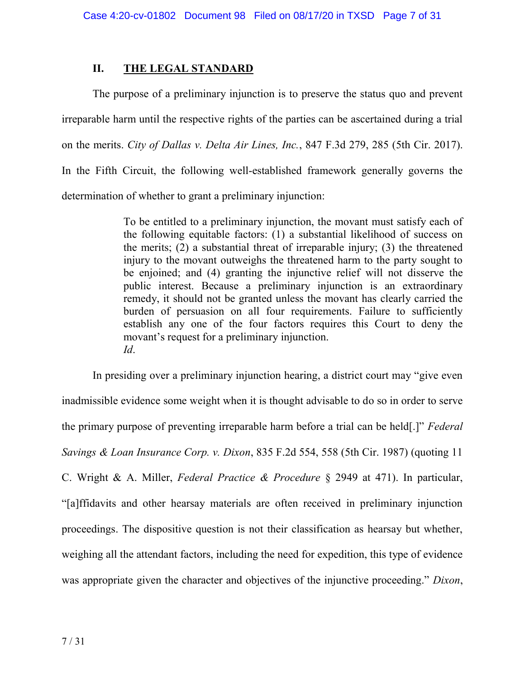# **II. THE LEGAL STANDARD**

The purpose of a preliminary injunction is to preserve the status quo and prevent irreparable harm until the respective rights of the parties can be ascertained during a trial on the merits. *City of Dallas v. Delta Air Lines, Inc.*, 847 F.3d 279, 285 (5th Cir. 2017). In the Fifth Circuit, the following well-established framework generally governs the determination of whether to grant a preliminary injunction:

> To be entitled to a preliminary injunction, the movant must satisfy each of the following equitable factors: (1) a substantial likelihood of success on the merits; (2) a substantial threat of irreparable injury; (3) the threatened injury to the movant outweighs the threatened harm to the party sought to be enjoined; and (4) granting the injunctive relief will not disserve the public interest. Because a preliminary injunction is an extraordinary remedy, it should not be granted unless the movant has clearly carried the burden of persuasion on all four requirements. Failure to sufficiently establish any one of the four factors requires this Court to deny the movant's request for a preliminary injunction. *Id*.

In presiding over a preliminary injunction hearing, a district court may "give even inadmissible evidence some weight when it is thought advisable to do so in order to serve the primary purpose of preventing irreparable harm before a trial can be held[.]" *Federal Savings & Loan Insurance Corp. v. Dixon*, 835 F.2d 554, 558 (5th Cir. 1987) (quoting 11 C. Wright & A. Miller, *Federal Practice & Procedure* § 2949 at 471). In particular, "[a]ffidavits and other hearsay materials are often received in preliminary injunction proceedings. The dispositive question is not their classification as hearsay but whether, weighing all the attendant factors, including the need for expedition, this type of evidence was appropriate given the character and objectives of the injunctive proceeding." *Dixon*,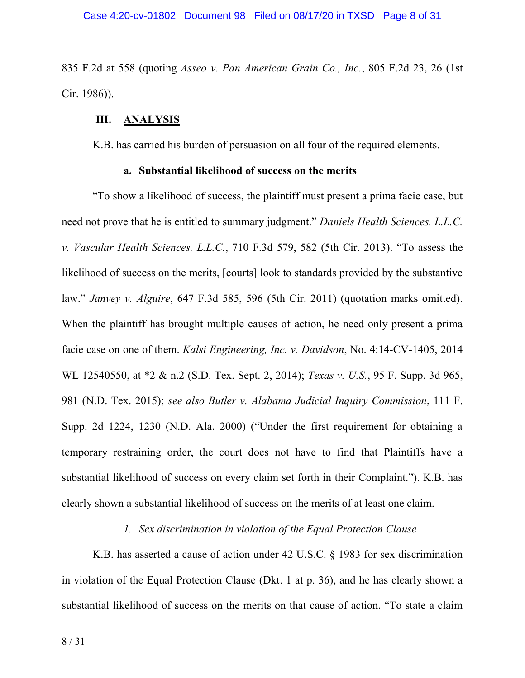835 F.2d at 558 (quoting *Asseo v. Pan American Grain Co., Inc.*, 805 F.2d 23, 26 (1st Cir. 1986)).

### **III. ANALYSIS**

K.B. has carried his burden of persuasion on all four of the required elements.

## **a. Substantial likelihood of success on the merits**

"To show a likelihood of success, the plaintiff must present a prima facie case, but need not prove that he is entitled to summary judgment." *Daniels Health Sciences, L.L.C. v. Vascular Health Sciences, L.L.C.*, 710 F.3d 579, 582 (5th Cir. 2013). "To assess the likelihood of success on the merits, [courts] look to standards provided by the substantive law." *Janvey v. Alguire*, 647 F.3d 585, 596 (5th Cir. 2011) (quotation marks omitted). When the plaintiff has brought multiple causes of action, he need only present a prima facie case on one of them. *Kalsi Engineering, Inc. v. Davidson*, No. 4:14-CV-1405, 2014 WL 12540550, at \*2 & n.2 (S.D. Tex. Sept. 2, 2014); *Texas v. U.S.*, 95 F. Supp. 3d 965, 981 (N.D. Tex. 2015); *see also Butler v. Alabama Judicial Inquiry Commission*, 111 F. Supp. 2d 1224, 1230 (N.D. Ala. 2000) ("Under the first requirement for obtaining a temporary restraining order, the court does not have to find that Plaintiffs have a substantial likelihood of success on every claim set forth in their Complaint."). K.B. has clearly shown a substantial likelihood of success on the merits of at least one claim.

## *1. Sex discrimination in violation of the Equal Protection Clause*

K.B. has asserted a cause of action under 42 U.S.C. § 1983 for sex discrimination in violation of the Equal Protection Clause (Dkt. 1 at p. 36), and he has clearly shown a substantial likelihood of success on the merits on that cause of action. "To state a claim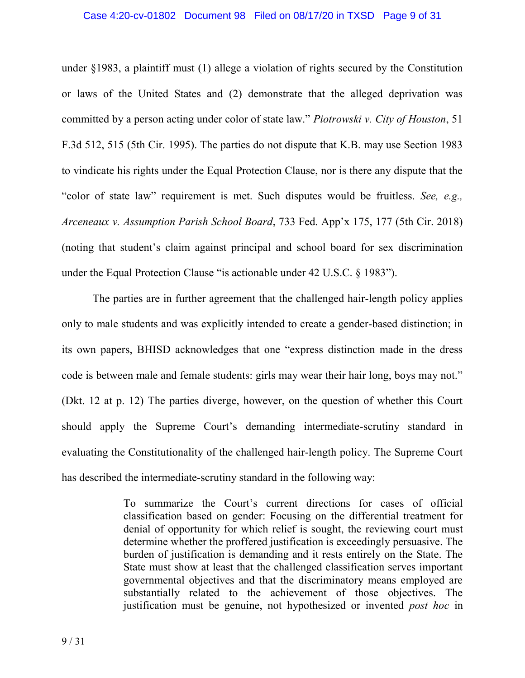under §1983, a plaintiff must (1) allege a violation of rights secured by the Constitution or laws of the United States and (2) demonstrate that the alleged deprivation was committed by a person acting under color of state law." *Piotrowski v. City of Houston*, 51 F.3d 512, 515 (5th Cir. 1995). The parties do not dispute that K.B. may use Section 1983 to vindicate his rights under the Equal Protection Clause, nor is there any dispute that the "color of state law" requirement is met. Such disputes would be fruitless. *See, e.g., Arceneaux v. Assumption Parish School Board*, 733 Fed. App'x 175, 177 (5th Cir. 2018) (noting that student's claim against principal and school board for sex discrimination under the Equal Protection Clause "is actionable under 42 U.S.C. § 1983").

The parties are in further agreement that the challenged hair-length policy applies only to male students and was explicitly intended to create a gender-based distinction; in its own papers, BHISD acknowledges that one "express distinction made in the dress code is between male and female students: girls may wear their hair long, boys may not." (Dkt. 12 at p. 12) The parties diverge, however, on the question of whether this Court should apply the Supreme Court's demanding intermediate-scrutiny standard in evaluating the Constitutionality of the challenged hair-length policy. The Supreme Court has described the intermediate-scrutiny standard in the following way:

> To summarize the Court's current directions for cases of official classification based on gender: Focusing on the differential treatment for denial of opportunity for which relief is sought, the reviewing court must determine whether the proffered justification is exceedingly persuasive. The burden of justification is demanding and it rests entirely on the State. The State must show at least that the challenged classification serves important governmental objectives and that the discriminatory means employed are substantially related to the achievement of those objectives. The justification must be genuine, not hypothesized or invented *post hoc* in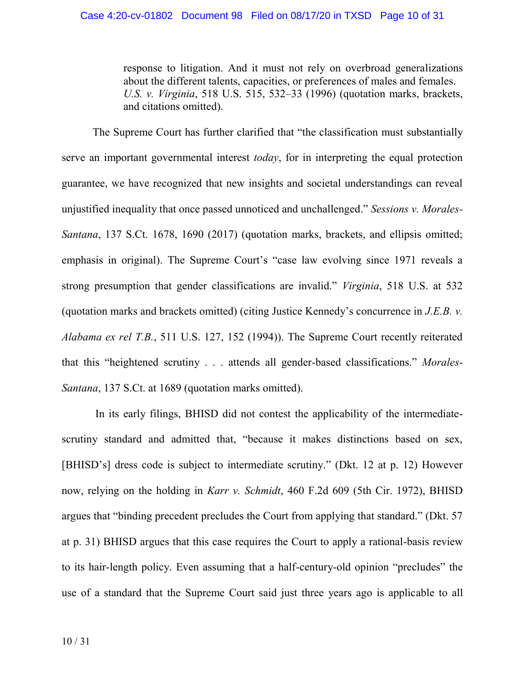response to litigation. And it must not rely on overbroad generalizations about the different talents, capacities, or preferences of males and females. *U.S. v. Virginia*, 518 U.S. 515, 532–33 (1996) (quotation marks, brackets, and citations omitted).

The Supreme Court has further clarified that "the classification must substantially serve an important governmental interest *today*, for in interpreting the equal protection guarantee, we have recognized that new insights and societal understandings can reveal unjustified inequality that once passed unnoticed and unchallenged." *Sessions v. Morales-Santana*, 137 S.Ct. 1678, 1690 (2017) (quotation marks, brackets, and ellipsis omitted; emphasis in original). The Supreme Court's "case law evolving since 1971 reveals a strong presumption that gender classifications are invalid." *Virginia*, 518 U.S. at 532 (quotation marks and brackets omitted) (citing Justice Kennedy's concurrence in *J.E.B. v. Alabama ex rel T.B.*, 511 U.S. 127, 152 (1994)). The Supreme Court recently reiterated that this "heightened scrutiny . . . attends all gender-based classifications." *Morales-Santana*, 137 S.Ct. at 1689 (quotation marks omitted).

In its early filings, BHISD did not contest the applicability of the intermediatescrutiny standard and admitted that, "because it makes distinctions based on sex, [BHISD's] dress code is subject to intermediate scrutiny." (Dkt. 12 at p. 12) However now, relying on the holding in *Karr v. Schmidt*, 460 F.2d 609 (5th Cir. 1972), BHISD argues that "binding precedent precludes the Court from applying that standard." (Dkt. 57 at p. 31) BHISD argues that this case requires the Court to apply a rational-basis review to its hair-length policy. Even assuming that a half-century-old opinion "precludes" the use of a standard that the Supreme Court said just three years ago is applicable to all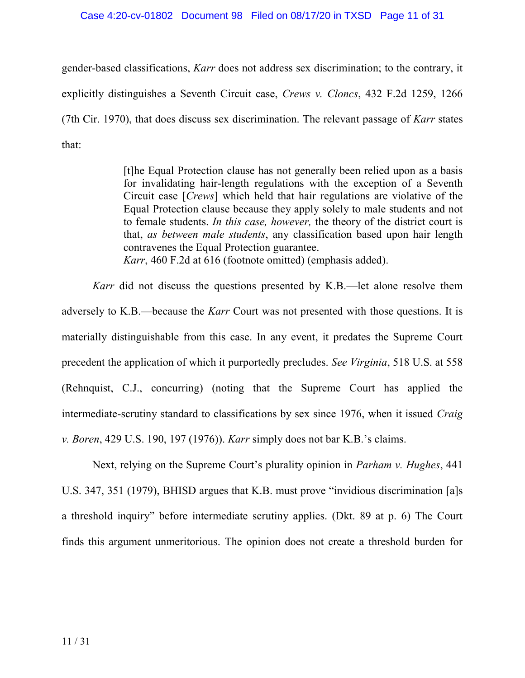#### Case 4:20-cv-01802 Document 98 Filed on 08/17/20 in TXSD Page 11 of 31

gender-based classifications, *Karr* does not address sex discrimination; to the contrary, it explicitly distinguishes a Seventh Circuit case, *Crews v. Cloncs*, 432 F.2d 1259, 1266 (7th Cir. 1970), that does discuss sex discrimination. The relevant passage of *Karr* states that:

> [t]he Equal Protection clause has not generally been relied upon as a basis for invalidating hair-length regulations with the exception of a Seventh Circuit case [*Crews*] which held that hair regulations are violative of the Equal Protection clause because they apply solely to male students and not to female students. *In this case, however,* the theory of the district court is that, *as between male students*, any classification based upon hair length contravenes the Equal Protection guarantee. *Karr*, 460 F.2d at 616 (footnote omitted) (emphasis added).

*Karr* did not discuss the questions presented by K.B.—let alone resolve them adversely to K.B.—because the *Karr* Court was not presented with those questions. It is materially distinguishable from this case. In any event, it predates the Supreme Court precedent the application of which it purportedly precludes. *See Virginia*, 518 U.S. at 558 (Rehnquist, C.J., concurring) (noting that the Supreme Court has applied the intermediate-scrutiny standard to classifications by sex since 1976, when it issued *Craig v. Boren*, 429 U.S. 190, 197 (1976)). *Karr* simply does not bar K.B.'s claims.

Next, relying on the Supreme Court's plurality opinion in *Parham v. Hughes*, 441 U.S. 347, 351 (1979), BHISD argues that K.B. must prove "invidious discrimination [a]s a threshold inquiry" before intermediate scrutiny applies. (Dkt. 89 at p. 6) The Court finds this argument unmeritorious. The opinion does not create a threshold burden for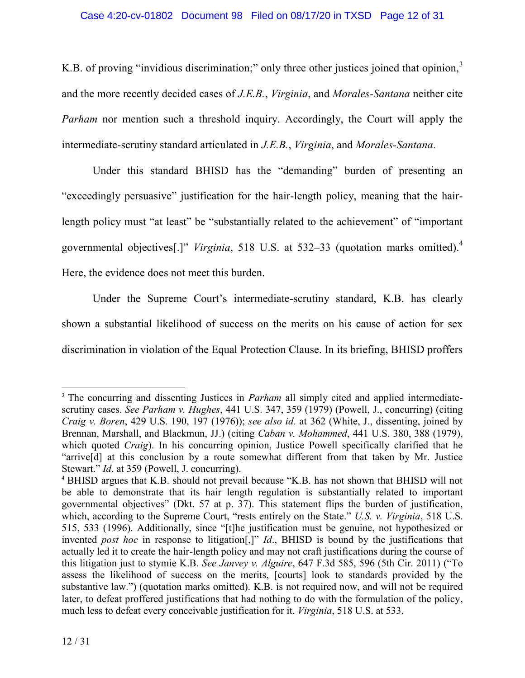K.B. of proving "invidious discrimination;" only three other justices joined that opinion,<sup>3</sup> and the more recently decided cases of *J.E.B.*, *Virginia*, and *Morales-Santana* neither cite *Parham* nor mention such a threshold inquiry. Accordingly, the Court will apply the intermediate-scrutiny standard articulated in *J.E.B.*, *Virginia*, and *Morales-Santana*.

Under this standard BHISD has the "demanding" burden of presenting an "exceedingly persuasive" justification for the hair-length policy, meaning that the hairlength policy must "at least" be "substantially related to the achievement" of "important governmental objectives[.]" *Virginia*, 518 U.S. at 532–33 (quotation marks omitted).<sup>4</sup> Here, the evidence does not meet this burden.

Under the Supreme Court's intermediate-scrutiny standard, K.B. has clearly shown a substantial likelihood of success on the merits on his cause of action for sex discrimination in violation of the Equal Protection Clause. In its briefing, BHISD proffers

<sup>&</sup>lt;sup>3</sup> The concurring and dissenting Justices in *Parham* all simply cited and applied intermediatescrutiny cases. *See Parham v. Hughes*, 441 U.S. 347, 359 (1979) (Powell, J., concurring) (citing *Craig v. Boren*, 429 U.S. 190, 197 (1976)); *see also id.* at 362 (White, J., dissenting, joined by Brennan, Marshall, and Blackmun, JJ.) (citing *Caban v. Mohammed*, 441 U.S. 380, 388 (1979), which quoted *Craig*). In his concurring opinion, Justice Powell specifically clarified that he "arrive[d] at this conclusion by a route somewhat different from that taken by Mr. Justice Stewart." *Id*. at 359 (Powell, J. concurring).

<sup>4</sup> BHISD argues that K.B. should not prevail because "K.B. has not shown that BHISD will not be able to demonstrate that its hair length regulation is substantially related to important governmental objectives" (Dkt. 57 at p. 37). This statement flips the burden of justification, which, according to the Supreme Court, "rests entirely on the State." *U.S. v. Virginia*, 518 U.S. 515, 533 (1996). Additionally, since "[t]he justification must be genuine, not hypothesized or invented *post hoc* in response to litigation[,]" *Id*., BHISD is bound by the justifications that actually led it to create the hair-length policy and may not craft justifications during the course of this litigation just to stymie K.B. *See Janvey v. Alguire*, 647 F.3d 585, 596 (5th Cir. 2011) ("To assess the likelihood of success on the merits, [courts] look to standards provided by the substantive law.") (quotation marks omitted). K.B. is not required now, and will not be required later, to defeat proffered justifications that had nothing to do with the formulation of the policy, much less to defeat every conceivable justification for it. *Virginia*, 518 U.S. at 533.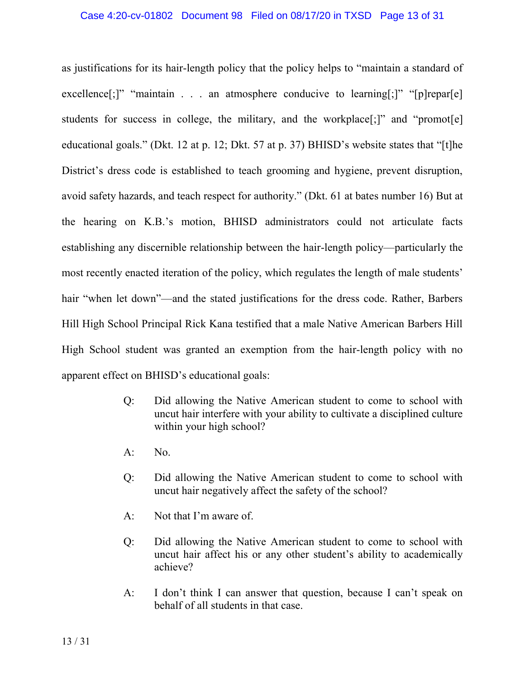as justifications for its hair-length policy that the policy helps to "maintain a standard of excellence[;]" "maintain . . . an atmosphere conducive to learning[;]" "[p]repar[e] students for success in college, the military, and the workplace<sup>[;]"</sup> and "promot<sup>[e]</sup> educational goals." (Dkt. 12 at p. 12; Dkt. 57 at p. 37) BHISD's website states that "[t]he District's dress code is established to teach grooming and hygiene, prevent disruption, avoid safety hazards, and teach respect for authority." (Dkt. 61 at bates number 16) But at the hearing on K.B.'s motion, BHISD administrators could not articulate facts establishing any discernible relationship between the hair-length policy—particularly the most recently enacted iteration of the policy, which regulates the length of male students' hair "when let down"—and the stated justifications for the dress code. Rather, Barbers Hill High School Principal Rick Kana testified that a male Native American Barbers Hill High School student was granted an exemption from the hair-length policy with no apparent effect on BHISD's educational goals:

- Q: Did allowing the Native American student to come to school with uncut hair interfere with your ability to cultivate a disciplined culture within your high school?
- A: No.
- Q: Did allowing the Native American student to come to school with uncut hair negatively affect the safety of the school?
- A: Not that I'm aware of.
- Q: Did allowing the Native American student to come to school with uncut hair affect his or any other student's ability to academically achieve?
- A: I don't think I can answer that question, because I can't speak on behalf of all students in that case.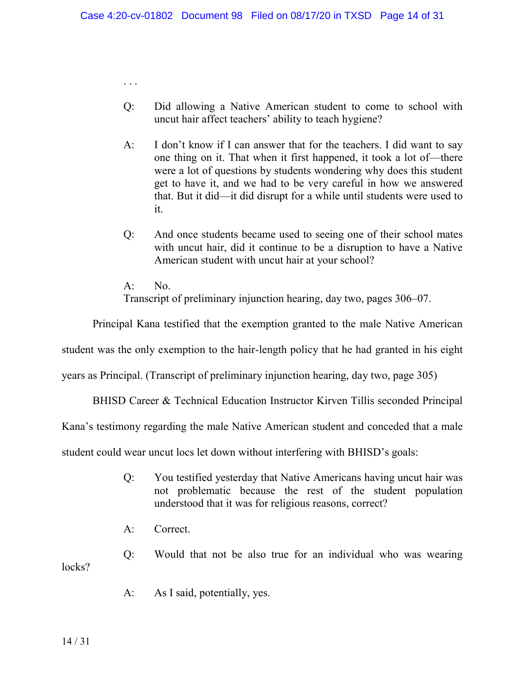- Q: Did allowing a Native American student to come to school with uncut hair affect teachers' ability to teach hygiene?
- A: I don't know if I can answer that for the teachers. I did want to say one thing on it. That when it first happened, it took a lot of—there were a lot of questions by students wondering why does this student get to have it, and we had to be very careful in how we answered that. But it did—it did disrupt for a while until students were used to it.
- Q: And once students became used to seeing one of their school mates with uncut hair, did it continue to be a disruption to have a Native American student with uncut hair at your school?
- A: No. Transcript of preliminary injunction hearing, day two, pages 306–07.

Principal Kana testified that the exemption granted to the male Native American

student was the only exemption to the hair-length policy that he had granted in his eight

years as Principal. (Transcript of preliminary injunction hearing, day two, page 305)

BHISD Career & Technical Education Instructor Kirven Tillis seconded Principal

Kana's testimony regarding the male Native American student and conceded that a male

student could wear uncut locs let down without interfering with BHISD's goals:

- Q: You testified yesterday that Native Americans having uncut hair was not problematic because the rest of the student population understood that it was for religious reasons, correct?
- A: Correct.

. . .

Q: Would that not be also true for an individual who was wearing locks?

A: As I said, potentially, yes.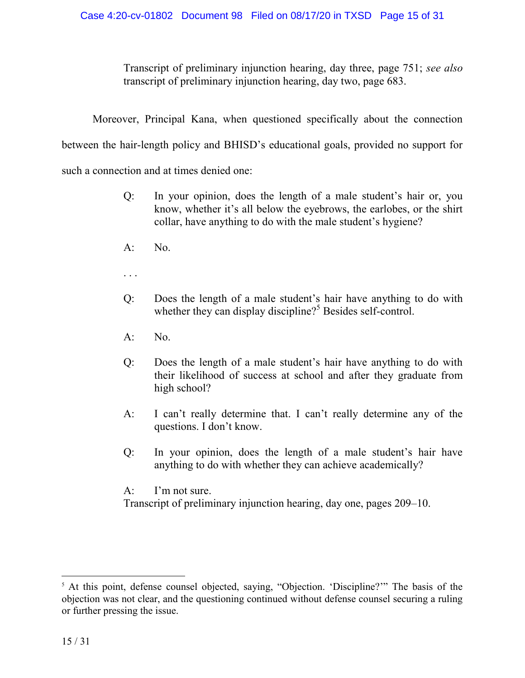Transcript of preliminary injunction hearing, day three, page 751; *see also* transcript of preliminary injunction hearing, day two, page 683.

Moreover, Principal Kana, when questioned specifically about the connection

between the hair-length policy and BHISD's educational goals, provided no support for

such a connection and at times denied one:

- Q: In your opinion, does the length of a male student's hair or, you know, whether it's all below the eyebrows, the earlobes, or the shirt collar, have anything to do with the male student's hygiene?
- A: No.
- . . .
- Q: Does the length of a male student's hair have anything to do with whether they can display discipline?<sup>5</sup> Besides self-control.
- $A:$  No.
- Q: Does the length of a male student's hair have anything to do with their likelihood of success at school and after they graduate from high school?
- A: I can't really determine that. I can't really determine any of the questions. I don't know.
- Q: In your opinion, does the length of a male student's hair have anything to do with whether they can achieve academically?

A: I'm not sure.

Transcript of preliminary injunction hearing, day one, pages 209–10.

<sup>&</sup>lt;sup>5</sup> At this point, defense counsel objected, saying, "Objection. 'Discipline?'" The basis of the objection was not clear, and the questioning continued without defense counsel securing a ruling or further pressing the issue.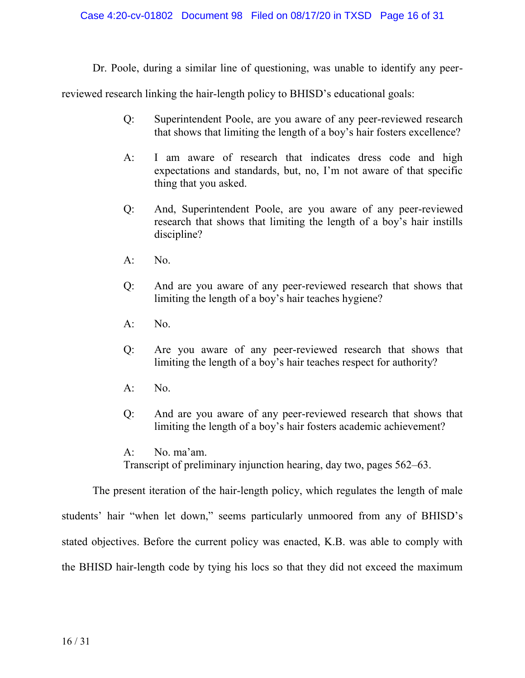Dr. Poole, during a similar line of questioning, was unable to identify any peer-

reviewed research linking the hair-length policy to BHISD's educational goals:

- Q: Superintendent Poole, are you aware of any peer-reviewed research that shows that limiting the length of a boy's hair fosters excellence?
- A: I am aware of research that indicates dress code and high expectations and standards, but, no, I'm not aware of that specific thing that you asked.
- Q: And, Superintendent Poole, are you aware of any peer-reviewed research that shows that limiting the length of a boy's hair instills discipline?
- $A:$  No.
- Q: And are you aware of any peer-reviewed research that shows that limiting the length of a boy's hair teaches hygiene?
- $A:$  No.
- Q: Are you aware of any peer-reviewed research that shows that limiting the length of a boy's hair teaches respect for authority?
- A: No.
- Q: And are you aware of any peer-reviewed research that shows that limiting the length of a boy's hair fosters academic achievement?

The present iteration of the hair-length policy, which regulates the length of male students' hair "when let down," seems particularly unmoored from any of BHISD's stated objectives. Before the current policy was enacted, K.B. was able to comply with the BHISD hair-length code by tying his locs so that they did not exceed the maximum

A: No. ma'am. Transcript of preliminary injunction hearing, day two, pages 562–63.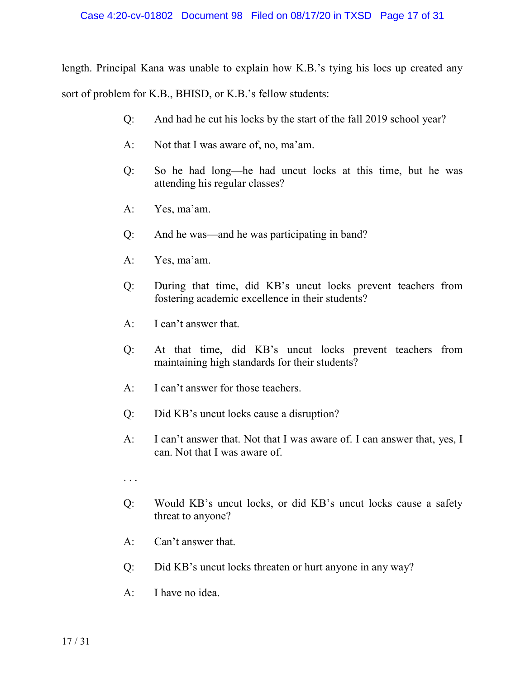length. Principal Kana was unable to explain how K.B.'s tying his locs up created any sort of problem for K.B., BHISD, or K.B.'s fellow students:

- Q: And had he cut his locks by the start of the fall 2019 school year?
- A: Not that I was aware of, no, ma'am.
- Q: So he had long—he had uncut locks at this time, but he was attending his regular classes?
- A: Yes, ma'am.
- Q: And he was—and he was participating in band?
- A: Yes, ma'am.
- Q: During that time, did KB's uncut locks prevent teachers from fostering academic excellence in their students?
- A: I can't answer that.
- Q: At that time, did KB's uncut locks prevent teachers from maintaining high standards for their students?
- A: I can't answer for those teachers.
- Q: Did KB's uncut locks cause a disruption?
- A: I can't answer that. Not that I was aware of. I can answer that, yes, I can. Not that I was aware of.
- . . .
- Q: Would KB's uncut locks, or did KB's uncut locks cause a safety threat to anyone?
- A: Can't answer that.
- Q: Did KB's uncut locks threaten or hurt anyone in any way?
- A: I have no idea.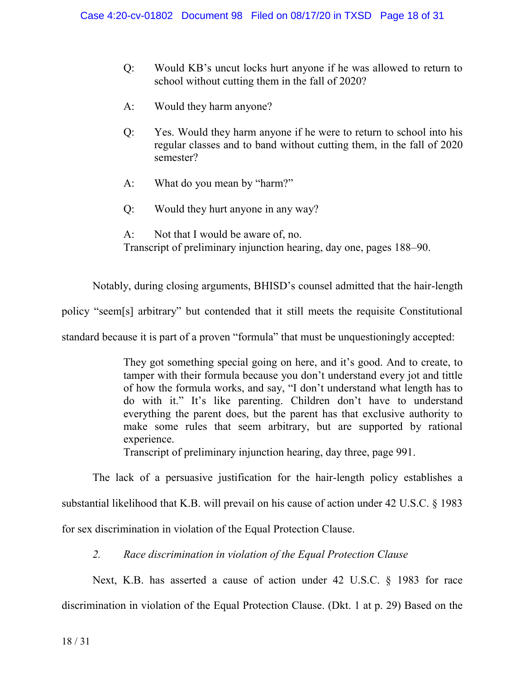- Q: Would KB's uncut locks hurt anyone if he was allowed to return to school without cutting them in the fall of 2020?
- A: Would they harm anyone?
- Q: Yes. Would they harm anyone if he were to return to school into his regular classes and to band without cutting them, in the fall of 2020 semester?
- A: What do you mean by "harm?"
- Q: Would they hurt anyone in any way?
- A: Not that I would be aware of, no. Transcript of preliminary injunction hearing, day one, pages 188–90.

Notably, during closing arguments, BHISD's counsel admitted that the hair-length policy "seem[s] arbitrary" but contended that it still meets the requisite Constitutional standard because it is part of a proven "formula" that must be unquestioningly accepted:

> They got something special going on here, and it's good. And to create, to tamper with their formula because you don't understand every jot and tittle of how the formula works, and say, "I don't understand what length has to do with it." It's like parenting. Children don't have to understand everything the parent does, but the parent has that exclusive authority to make some rules that seem arbitrary, but are supported by rational experience.

Transcript of preliminary injunction hearing, day three, page 991.

The lack of a persuasive justification for the hair-length policy establishes a substantial likelihood that K.B. will prevail on his cause of action under 42 U.S.C. § 1983

for sex discrimination in violation of the Equal Protection Clause.

*2. Race discrimination in violation of the Equal Protection Clause*

Next, K.B. has asserted a cause of action under 42 U.S.C. § 1983 for race discrimination in violation of the Equal Protection Clause. (Dkt. 1 at p. 29) Based on the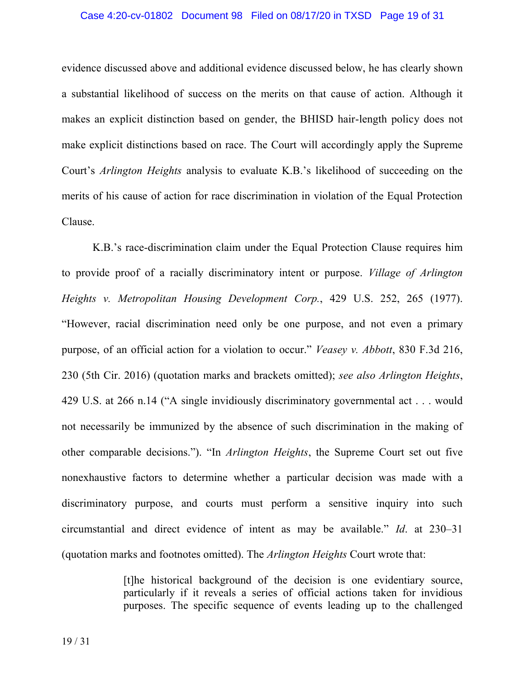#### Case 4:20-cv-01802 Document 98 Filed on 08/17/20 in TXSD Page 19 of 31

evidence discussed above and additional evidence discussed below, he has clearly shown a substantial likelihood of success on the merits on that cause of action. Although it makes an explicit distinction based on gender, the BHISD hair-length policy does not make explicit distinctions based on race. The Court will accordingly apply the Supreme Court's *Arlington Heights* analysis to evaluate K.B.'s likelihood of succeeding on the merits of his cause of action for race discrimination in violation of the Equal Protection Clause.

K.B.'s race-discrimination claim under the Equal Protection Clause requires him to provide proof of a racially discriminatory intent or purpose. *Village of Arlington Heights v. Metropolitan Housing Development Corp.*, 429 U.S. 252, 265 (1977). "However, racial discrimination need only be one purpose, and not even a primary purpose, of an official action for a violation to occur." *Veasey v. Abbott*, 830 F.3d 216, 230 (5th Cir. 2016) (quotation marks and brackets omitted); *see also Arlington Heights*, 429 U.S. at 266 n.14 ("A single invidiously discriminatory governmental act . . . would not necessarily be immunized by the absence of such discrimination in the making of other comparable decisions."). "In *Arlington Heights*, the Supreme Court set out five nonexhaustive factors to determine whether a particular decision was made with a discriminatory purpose, and courts must perform a sensitive inquiry into such circumstantial and direct evidence of intent as may be available." *Id*. at 230–31 (quotation marks and footnotes omitted). The *Arlington Heights* Court wrote that:

> [t]he historical background of the decision is one evidentiary source, particularly if it reveals a series of official actions taken for invidious purposes. The specific sequence of events leading up to the challenged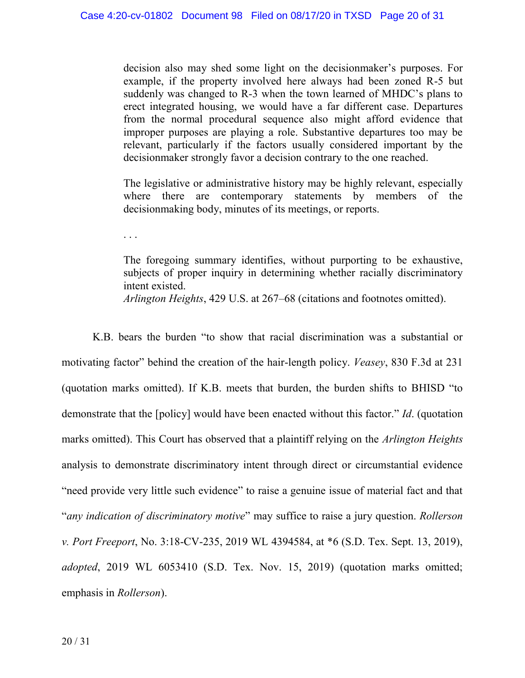decision also may shed some light on the decisionmaker's purposes. For example, if the property involved here always had been zoned R-5 but suddenly was changed to R-3 when the town learned of MHDC's plans to erect integrated housing, we would have a far different case. Departures from the normal procedural sequence also might afford evidence that improper purposes are playing a role. Substantive departures too may be relevant, particularly if the factors usually considered important by the decisionmaker strongly favor a decision contrary to the one reached.

The legislative or administrative history may be highly relevant, especially where there are contemporary statements by members of the decisionmaking body, minutes of its meetings, or reports.

. . .

The foregoing summary identifies, without purporting to be exhaustive, subjects of proper inquiry in determining whether racially discriminatory intent existed.

*Arlington Heights*, 429 U.S. at 267–68 (citations and footnotes omitted).

K.B. bears the burden "to show that racial discrimination was a substantial or motivating factor" behind the creation of the hair-length policy. *Veasey*, 830 F.3d at 231 (quotation marks omitted). If K.B. meets that burden, the burden shifts to BHISD "to demonstrate that the [policy] would have been enacted without this factor." *Id*. (quotation marks omitted). This Court has observed that a plaintiff relying on the *Arlington Heights* analysis to demonstrate discriminatory intent through direct or circumstantial evidence "need provide very little such evidence" to raise a genuine issue of material fact and that "*any indication of discriminatory motive*" may suffice to raise a jury question. *Rollerson v. Port Freeport*, No. 3:18-CV-235, 2019 WL 4394584, at \*6 (S.D. Tex. Sept. 13, 2019), *adopted*, 2019 WL 6053410 (S.D. Tex. Nov. 15, 2019) (quotation marks omitted; emphasis in *Rollerson*).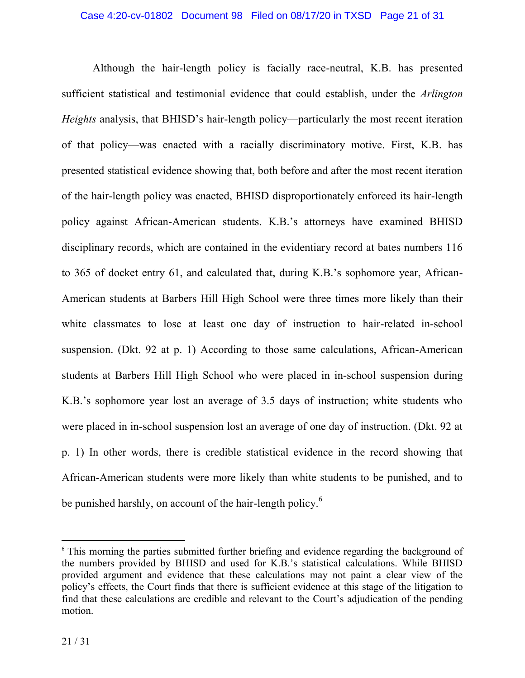Although the hair-length policy is facially race-neutral, K.B. has presented sufficient statistical and testimonial evidence that could establish, under the *Arlington Heights* analysis, that BHISD's hair-length policy—particularly the most recent iteration of that policy—was enacted with a racially discriminatory motive. First, K.B. has presented statistical evidence showing that, both before and after the most recent iteration of the hair-length policy was enacted, BHISD disproportionately enforced its hair-length policy against African-American students. K.B.'s attorneys have examined BHISD disciplinary records, which are contained in the evidentiary record at bates numbers 116 to 365 of docket entry 61, and calculated that, during K.B.'s sophomore year, African-American students at Barbers Hill High School were three times more likely than their white classmates to lose at least one day of instruction to hair-related in-school suspension. (Dkt. 92 at p. 1) According to those same calculations, African-American students at Barbers Hill High School who were placed in in-school suspension during K.B.'s sophomore year lost an average of 3.5 days of instruction; white students who were placed in in-school suspension lost an average of one day of instruction. (Dkt. 92 at p. 1) In other words, there is credible statistical evidence in the record showing that African-American students were more likely than white students to be punished, and to be punished harshly, on account of the hair-length policy.<sup>6</sup>

<sup>&</sup>lt;sup>6</sup> This morning the parties submitted further briefing and evidence regarding the background of the numbers provided by BHISD and used for K.B.'s statistical calculations. While BHISD provided argument and evidence that these calculations may not paint a clear view of the policy's effects, the Court finds that there is sufficient evidence at this stage of the litigation to find that these calculations are credible and relevant to the Court's adjudication of the pending motion.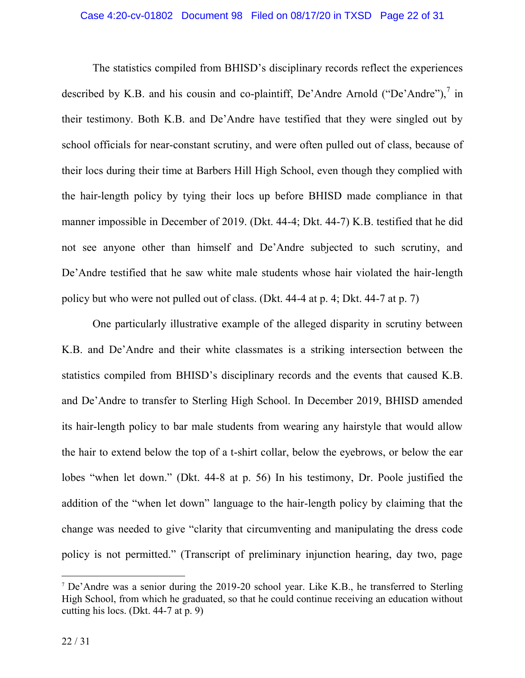The statistics compiled from BHISD's disciplinary records reflect the experiences described by K.B. and his cousin and co-plaintiff, De'Andre Arnold ("De'Andre"), $\frac{7}{1}$  in their testimony. Both K.B. and De'Andre have testified that they were singled out by school officials for near-constant scrutiny, and were often pulled out of class, because of their locs during their time at Barbers Hill High School, even though they complied with the hair-length policy by tying their locs up before BHISD made compliance in that manner impossible in December of 2019. (Dkt. 44-4; Dkt. 44-7) K.B. testified that he did not see anyone other than himself and De'Andre subjected to such scrutiny, and De'Andre testified that he saw white male students whose hair violated the hair-length policy but who were not pulled out of class. (Dkt. 44-4 at p. 4; Dkt. 44-7 at p. 7)

One particularly illustrative example of the alleged disparity in scrutiny between K.B. and De'Andre and their white classmates is a striking intersection between the statistics compiled from BHISD's disciplinary records and the events that caused K.B. and De'Andre to transfer to Sterling High School. In December 2019, BHISD amended its hair-length policy to bar male students from wearing any hairstyle that would allow the hair to extend below the top of a t-shirt collar, below the eyebrows, or below the ear lobes "when let down." (Dkt. 44-8 at p. 56) In his testimony, Dr. Poole justified the addition of the "when let down" language to the hair-length policy by claiming that the change was needed to give "clarity that circumventing and manipulating the dress code policy is not permitted." (Transcript of preliminary injunction hearing, day two, page

<sup>&</sup>lt;sup>7</sup> De'Andre was a senior during the 2019-20 school year. Like K.B., he transferred to Sterling High School, from which he graduated, so that he could continue receiving an education without cutting his locs. (Dkt. 44-7 at p. 9)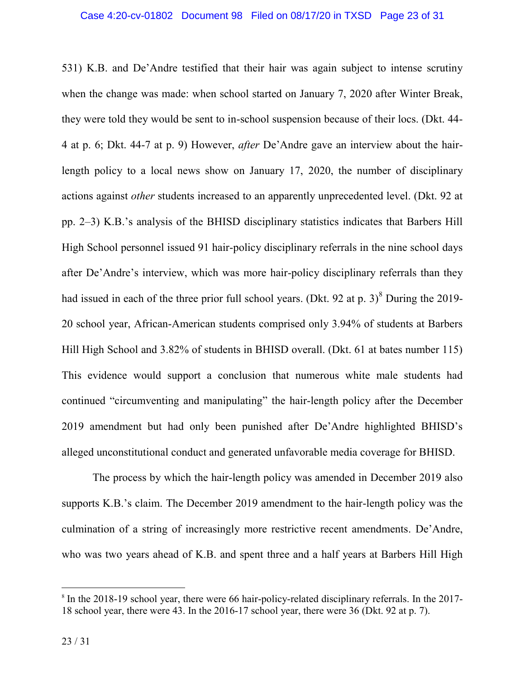531) K.B. and De'Andre testified that their hair was again subject to intense scrutiny when the change was made: when school started on January 7, 2020 after Winter Break, they were told they would be sent to in-school suspension because of their locs. (Dkt. 44- 4 at p. 6; Dkt. 44-7 at p. 9) However, *after* De'Andre gave an interview about the hairlength policy to a local news show on January 17, 2020, the number of disciplinary actions against *other* students increased to an apparently unprecedented level. (Dkt. 92 at pp. 2–3) K.B.'s analysis of the BHISD disciplinary statistics indicates that Barbers Hill High School personnel issued 91 hair-policy disciplinary referrals in the nine school days after De'Andre's interview, which was more hair-policy disciplinary referrals than they had issued in each of the three prior full school years. (Dkt. 92 at p.  $3$ )<sup>8</sup> During the 2019-20 school year, African-American students comprised only 3.94% of students at Barbers Hill High School and 3.82% of students in BHISD overall. (Dkt. 61 at bates number 115) This evidence would support a conclusion that numerous white male students had continued "circumventing and manipulating" the hair-length policy after the December 2019 amendment but had only been punished after De'Andre highlighted BHISD's alleged unconstitutional conduct and generated unfavorable media coverage for BHISD.

The process by which the hair-length policy was amended in December 2019 also supports K.B.'s claim. The December 2019 amendment to the hair-length policy was the culmination of a string of increasingly more restrictive recent amendments. De'Andre, who was two years ahead of K.B. and spent three and a half years at Barbers Hill High

<sup>&</sup>lt;sup>8</sup> In the 2018-19 school year, there were 66 hair-policy-related disciplinary referrals. In the 2017-18 school year, there were 43. In the 2016-17 school year, there were 36 (Dkt. 92 at p. 7).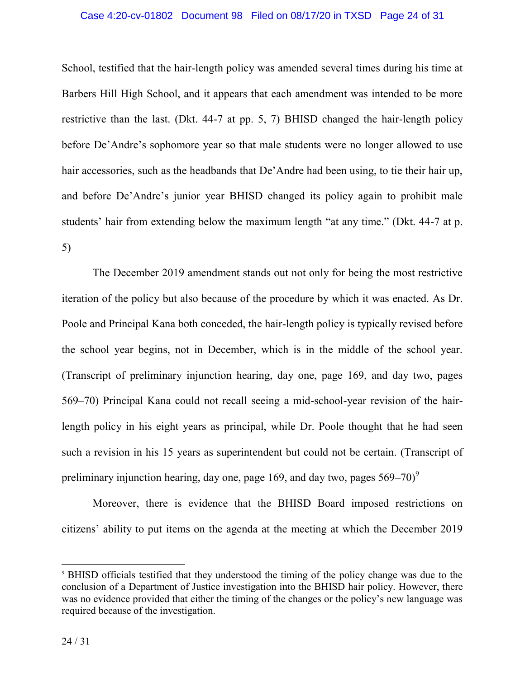#### Case 4:20-cv-01802 Document 98 Filed on 08/17/20 in TXSD Page 24 of 31

School, testified that the hair-length policy was amended several times during his time at Barbers Hill High School, and it appears that each amendment was intended to be more restrictive than the last. (Dkt. 44-7 at pp. 5, 7) BHISD changed the hair-length policy before De'Andre's sophomore year so that male students were no longer allowed to use hair accessories, such as the headbands that De'Andre had been using, to tie their hair up, and before De'Andre's junior year BHISD changed its policy again to prohibit male students' hair from extending below the maximum length "at any time." (Dkt. 44-7 at p. 5)

The December 2019 amendment stands out not only for being the most restrictive iteration of the policy but also because of the procedure by which it was enacted. As Dr. Poole and Principal Kana both conceded, the hair-length policy is typically revised before the school year begins, not in December, which is in the middle of the school year. (Transcript of preliminary injunction hearing, day one, page 169, and day two, pages 569–70) Principal Kana could not recall seeing a mid-school-year revision of the hairlength policy in his eight years as principal, while Dr. Poole thought that he had seen such a revision in his 15 years as superintendent but could not be certain. (Transcript of preliminary injunction hearing, day one, page 169, and day two, pages  $569-70$ <sup>9</sup>

Moreover, there is evidence that the BHISD Board imposed restrictions on citizens' ability to put items on the agenda at the meeting at which the December 2019

<sup>9</sup> BHISD officials testified that they understood the timing of the policy change was due to the conclusion of a Department of Justice investigation into the BHISD hair policy. However, there was no evidence provided that either the timing of the changes or the policy's new language was required because of the investigation.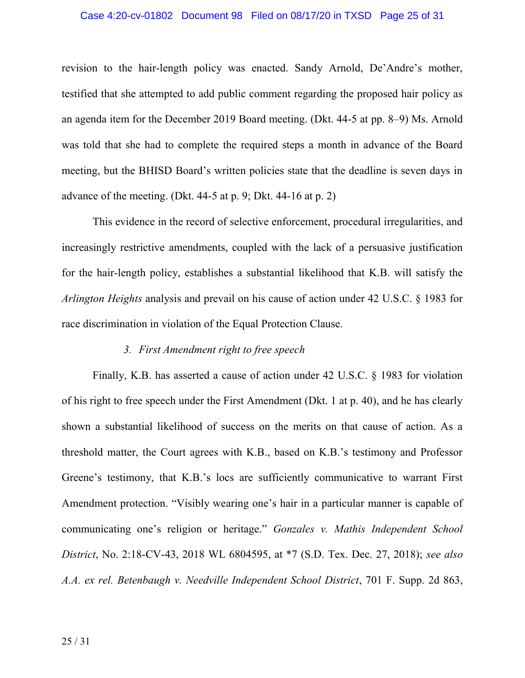#### Case 4:20-cv-01802 Document 98 Filed on 08/17/20 in TXSD Page 25 of 31

revision to the hair-length policy was enacted. Sandy Arnold, De'Andre's mother, testified that she attempted to add public comment regarding the proposed hair policy as an agenda item for the December 2019 Board meeting. (Dkt. 44-5 at pp. 8–9) Ms. Arnold was told that she had to complete the required steps a month in advance of the Board meeting, but the BHISD Board's written policies state that the deadline is seven days in advance of the meeting. (Dkt.  $44-5$  at p. 9; Dkt.  $44-16$  at p. 2)

This evidence in the record of selective enforcement, procedural irregularities, and increasingly restrictive amendments, coupled with the lack of a persuasive justification for the hair-length policy, establishes a substantial likelihood that K.B. will satisfy the *Arlington Heights* analysis and prevail on his cause of action under 42 U.S.C. § 1983 for race discrimination in violation of the Equal Protection Clause.

# *3. First Amendment right to free speech*

Finally, K.B. has asserted a cause of action under 42 U.S.C. § 1983 for violation of his right to free speech under the First Amendment (Dkt. 1 at p. 40), and he has clearly shown a substantial likelihood of success on the merits on that cause of action. As a threshold matter, the Court agrees with K.B., based on K.B.'s testimony and Professor Greene's testimony, that K.B.'s locs are sufficiently communicative to warrant First Amendment protection. "Visibly wearing one's hair in a particular manner is capable of communicating one's religion or heritage." *Gonzales v. Mathis Independent School District*, No. 2:18-CV-43, 2018 WL 6804595, at \*7 (S.D. Tex. Dec. 27, 2018); *see also A.A. ex rel. Betenbaugh v. Needville Independent School District*, 701 F. Supp. 2d 863,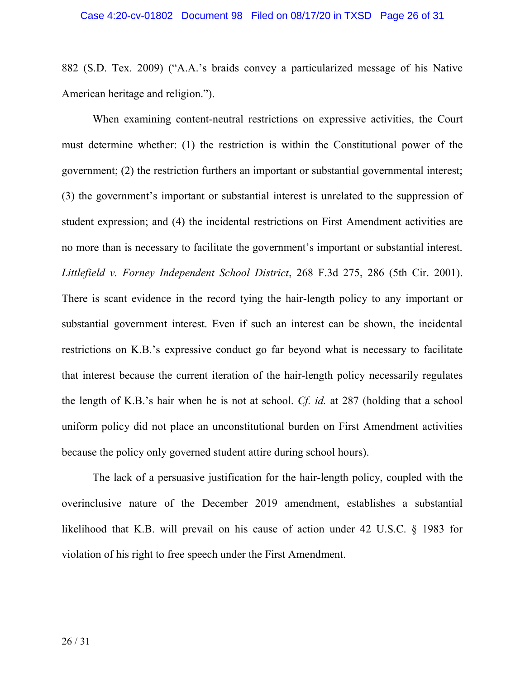882 (S.D. Tex. 2009) ("A.A.'s braids convey a particularized message of his Native American heritage and religion.").

When examining content-neutral restrictions on expressive activities, the Court must determine whether: (1) the restriction is within the Constitutional power of the government; (2) the restriction furthers an important or substantial governmental interest; (3) the government's important or substantial interest is unrelated to the suppression of student expression; and (4) the incidental restrictions on First Amendment activities are no more than is necessary to facilitate the government's important or substantial interest. *Littlefield v. Forney Independent School District*, 268 F.3d 275, 286 (5th Cir. 2001). There is scant evidence in the record tying the hair-length policy to any important or substantial government interest. Even if such an interest can be shown, the incidental restrictions on K.B.'s expressive conduct go far beyond what is necessary to facilitate that interest because the current iteration of the hair-length policy necessarily regulates the length of K.B.'s hair when he is not at school. *Cf. id.* at 287 (holding that a school uniform policy did not place an unconstitutional burden on First Amendment activities because the policy only governed student attire during school hours).

The lack of a persuasive justification for the hair-length policy, coupled with the overinclusive nature of the December 2019 amendment, establishes a substantial likelihood that K.B. will prevail on his cause of action under 42 U.S.C. § 1983 for violation of his right to free speech under the First Amendment.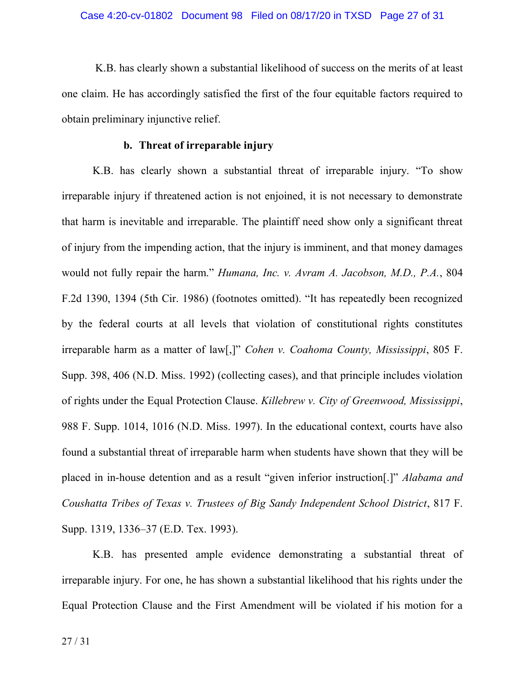K.B. has clearly shown a substantial likelihood of success on the merits of at least one claim. He has accordingly satisfied the first of the four equitable factors required to obtain preliminary injunctive relief.

### **b. Threat of irreparable injury**

K.B. has clearly shown a substantial threat of irreparable injury. "To show irreparable injury if threatened action is not enjoined, it is not necessary to demonstrate that harm is inevitable and irreparable. The plaintiff need show only a significant threat of injury from the impending action, that the injury is imminent, and that money damages would not fully repair the harm." *Humana, Inc. v. Avram A. Jacobson, M.D., P.A.*, 804 F.2d 1390, 1394 (5th Cir. 1986) (footnotes omitted). "It has repeatedly been recognized by the federal courts at all levels that violation of constitutional rights constitutes irreparable harm as a matter of law[,]" *Cohen v. Coahoma County, Mississippi*, 805 F. Supp. 398, 406 (N.D. Miss. 1992) (collecting cases), and that principle includes violation of rights under the Equal Protection Clause. *Killebrew v. City of Greenwood, Mississippi*, 988 F. Supp. 1014, 1016 (N.D. Miss. 1997). In the educational context, courts have also found a substantial threat of irreparable harm when students have shown that they will be placed in in-house detention and as a result "given inferior instruction[.]" *Alabama and Coushatta Tribes of Texas v. Trustees of Big Sandy Independent School District*, 817 F. Supp. 1319, 1336–37 (E.D. Tex. 1993).

K.B. has presented ample evidence demonstrating a substantial threat of irreparable injury. For one, he has shown a substantial likelihood that his rights under the Equal Protection Clause and the First Amendment will be violated if his motion for a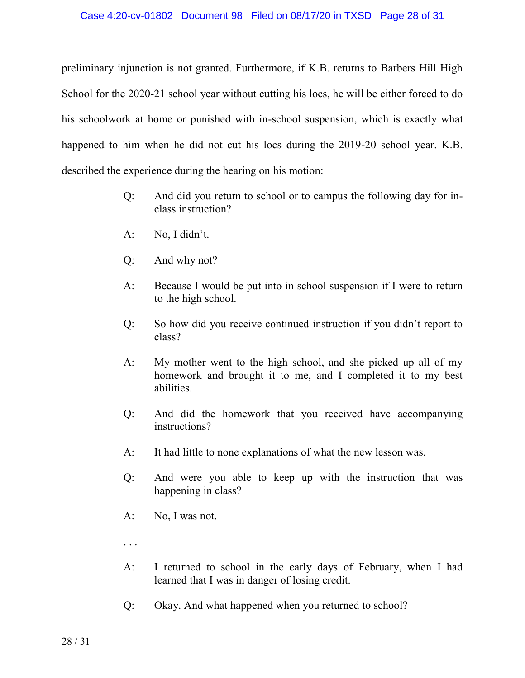preliminary injunction is not granted. Furthermore, if K.B. returns to Barbers Hill High School for the 2020-21 school year without cutting his locs, he will be either forced to do his schoolwork at home or punished with in-school suspension, which is exactly what happened to him when he did not cut his locs during the 2019-20 school year. K.B. described the experience during the hearing on his motion:

- Q: And did you return to school or to campus the following day for inclass instruction?
- A: No, I didn't.
- Q: And why not?
- A: Because I would be put into in school suspension if I were to return to the high school.
- Q: So how did you receive continued instruction if you didn't report to class?
- A: My mother went to the high school, and she picked up all of my homework and brought it to me, and I completed it to my best abilities.
- Q: And did the homework that you received have accompanying instructions?
- A: It had little to none explanations of what the new lesson was.
- Q: And were you able to keep up with the instruction that was happening in class?
- A: No, I was not.
- . . .
- A: I returned to school in the early days of February, when I had learned that I was in danger of losing credit.
- Q: Okay. And what happened when you returned to school?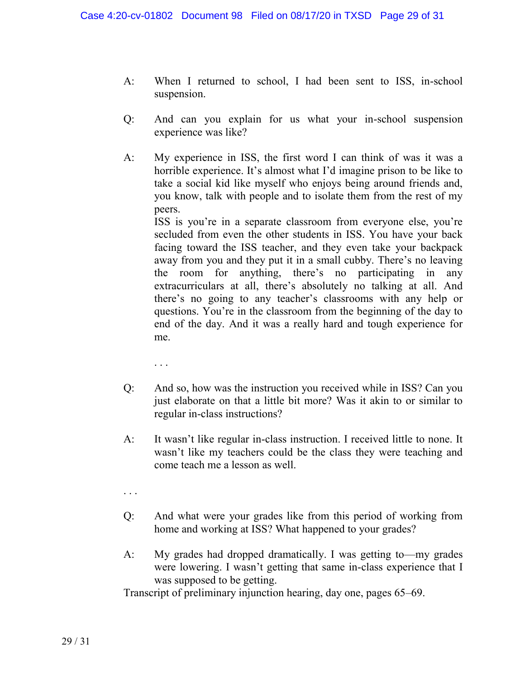- A: When I returned to school, I had been sent to ISS, in-school suspension.
- Q: And can you explain for us what your in-school suspension experience was like?
- A: My experience in ISS, the first word I can think of was it was a horrible experience. It's almost what I'd imagine prison to be like to take a social kid like myself who enjoys being around friends and, you know, talk with people and to isolate them from the rest of my peers.

ISS is you're in a separate classroom from everyone else, you're secluded from even the other students in ISS. You have your back facing toward the ISS teacher, and they even take your backpack away from you and they put it in a small cubby. There's no leaving the room for anything, there's no participating in any extracurriculars at all, there's absolutely no talking at all. And there's no going to any teacher's classrooms with any help or questions. You're in the classroom from the beginning of the day to end of the day. And it was a really hard and tough experience for me.

. . .

- Q: And so, how was the instruction you received while in ISS? Can you just elaborate on that a little bit more? Was it akin to or similar to regular in-class instructions?
- A: It wasn't like regular in-class instruction. I received little to none. It wasn't like my teachers could be the class they were teaching and come teach me a lesson as well.
- . . .
- Q: And what were your grades like from this period of working from home and working at ISS? What happened to your grades?
- A: My grades had dropped dramatically. I was getting to—my grades were lowering. I wasn't getting that same in-class experience that I was supposed to be getting.

Transcript of preliminary injunction hearing, day one, pages 65–69.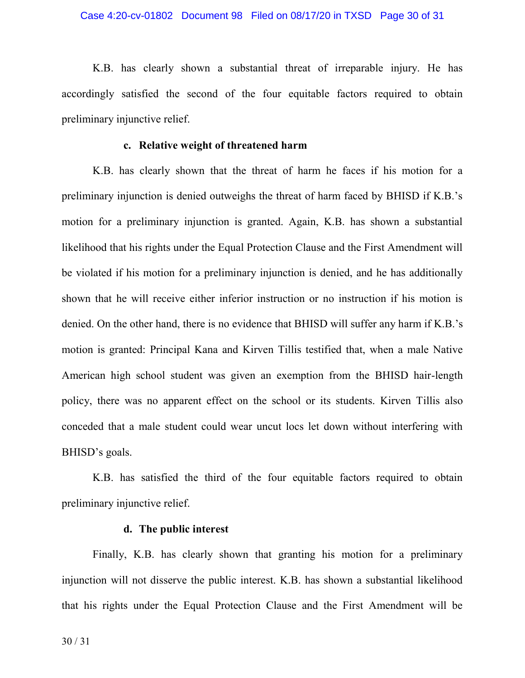K.B. has clearly shown a substantial threat of irreparable injury. He has accordingly satisfied the second of the four equitable factors required to obtain preliminary injunctive relief.

#### **c. Relative weight of threatened harm**

K.B. has clearly shown that the threat of harm he faces if his motion for a preliminary injunction is denied outweighs the threat of harm faced by BHISD if K.B.'s motion for a preliminary injunction is granted. Again, K.B. has shown a substantial likelihood that his rights under the Equal Protection Clause and the First Amendment will be violated if his motion for a preliminary injunction is denied, and he has additionally shown that he will receive either inferior instruction or no instruction if his motion is denied. On the other hand, there is no evidence that BHISD will suffer any harm if K.B.'s motion is granted: Principal Kana and Kirven Tillis testified that, when a male Native American high school student was given an exemption from the BHISD hair-length policy, there was no apparent effect on the school or its students. Kirven Tillis also conceded that a male student could wear uncut locs let down without interfering with BHISD's goals.

K.B. has satisfied the third of the four equitable factors required to obtain preliminary injunctive relief.

### **d. The public interest**

Finally, K.B. has clearly shown that granting his motion for a preliminary injunction will not disserve the public interest. K.B. has shown a substantial likelihood that his rights under the Equal Protection Clause and the First Amendment will be